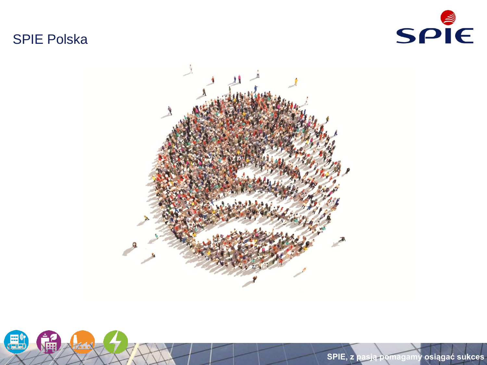# SPIE Polska







0 **SPIE, z pasją pomagamy osiągać sukces**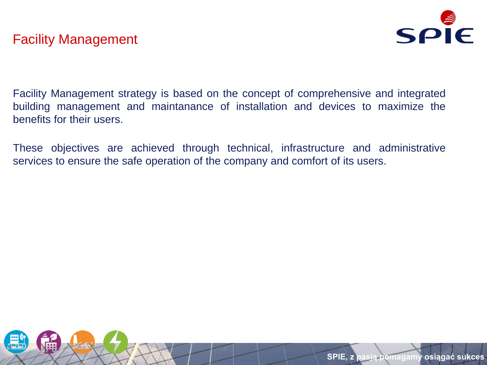

Facility Management strategy is based on the concept of comprehensive and integrated building management and maintanance of installation and devices to maximize the benefits for their users.

These objectives are achieved through technical, infrastructure and administrative services to ensure the safe operation of the company and comfort of its users.

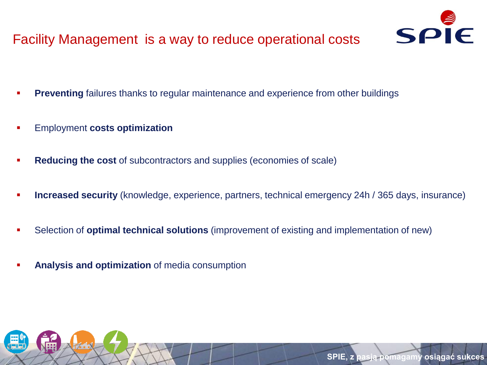# Facility Management is a way to reduce operational costs



- **Preventing** failures thanks to regular maintenance and experience from other buildings
- Employment **costs optimization**
- **Reducing the cost** of subcontractors and supplies (economies of scale)
- **Increased security** (knowledge, experience, partners, technical emergency 24h / 365 days, insurance)
- Selection of **optimal technical solutions** (improvement of existing and implementation of new)
- **Analysis and optimization** of media consumption

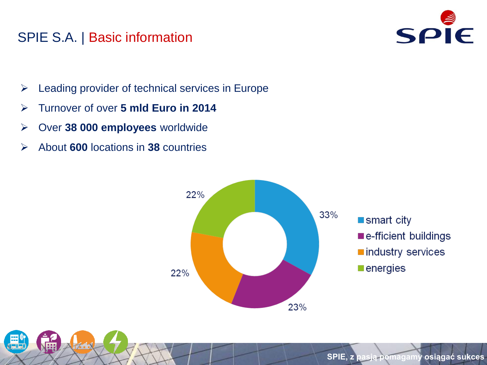## SPIE S.A. | Basic information



- $\triangleright$  Leading provider of technical services in Europe
- Turnover of over **5 mld Euro in 2014**
- Over **38 000 employees** worldwide
- About **600** locations in **38** countries

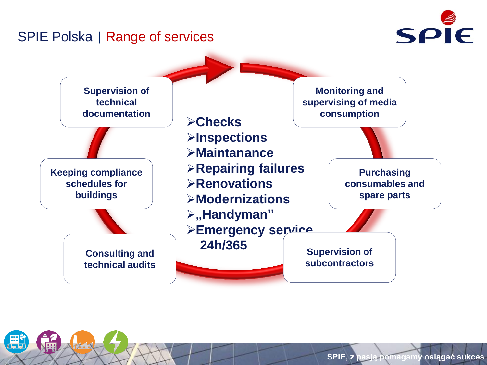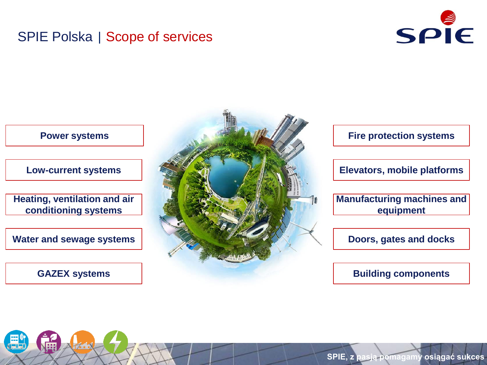#### SPIE Polska | Scope of services



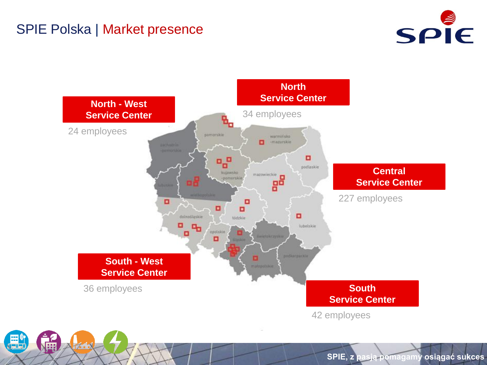### SPIE Polska | Market presence



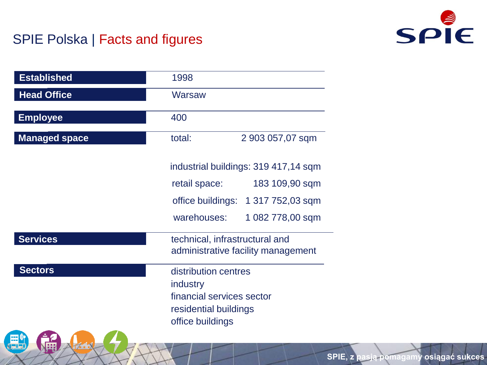## SPIE Polska | Facts and figures



| <b>Established</b>   | 1998                                                                                                       |
|----------------------|------------------------------------------------------------------------------------------------------------|
| <b>Head Office</b>   | Warsaw                                                                                                     |
| <b>Employee</b>      | 400                                                                                                        |
| <b>Managed space</b> | total:<br>2 903 057,07 sqm                                                                                 |
|                      | industrial buildings: 319 417,14 sqm                                                                       |
|                      | 183 109,90 sqm<br>retail space:                                                                            |
|                      | office buildings: 1 317 752,03 sqm                                                                         |
|                      | warehouses:<br>1 082 778,00 sqm                                                                            |
| <b>Services</b>      | technical, infrastructural and<br>administrative facility management                                       |
| <b>Sectors</b>       | distribution centres<br>industry<br>financial services sector<br>residential buildings<br>office buildings |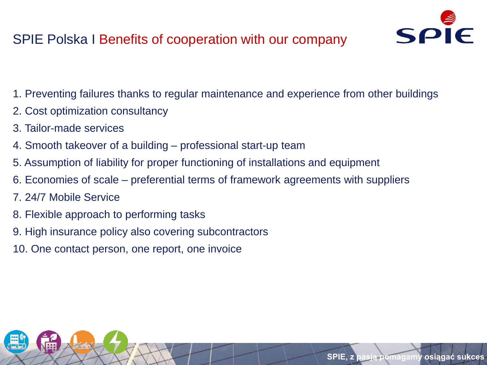# SPIE Polska I Benefits of cooperation with our company



- 1. Preventing failures thanks to regular maintenance and experience from other buildings
- 2. Cost optimization consultancy
- 3. Tailor-made services
- 4. Smooth takeover of a building professional start-up team
- 5. Assumption of liability for proper functioning of installations and equipment
- 6. Economies of scale preferential terms of framework agreements with suppliers
- 7. 24/7 Mobile Service
- 8. Flexible approach to performing tasks
- 9. High insurance policy also covering subcontractors
- 10. One contact person, one report, one invoice